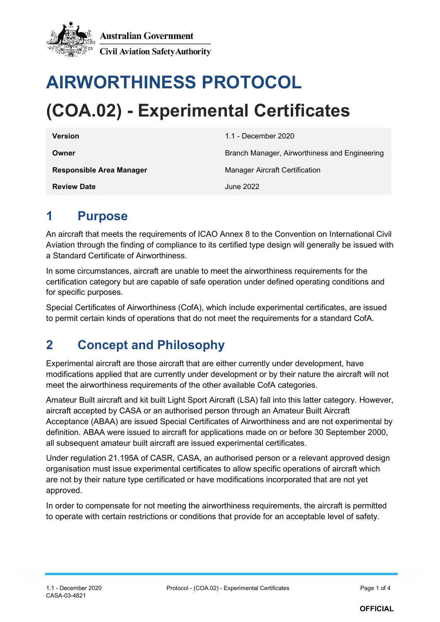

# **AIRWORTHINESS PROTOCOL (COA.02) - Experimental Certificates**

| <b>Version</b>                  | 1.1 - December 2020                           |  |
|---------------------------------|-----------------------------------------------|--|
| Owner                           | Branch Manager, Airworthiness and Engineering |  |
| <b>Responsible Area Manager</b> | Manager Aircraft Certification                |  |
| <b>Review Date</b>              | June 2022                                     |  |

#### **1 Purpose**

An aircraft that meets the requirements of ICAO Annex 8 to the Convention on International Civil Aviation through the finding of compliance to its certified type design will generally be issued with a Standard Certificate of Airworthiness.

In some circumstances, aircraft are unable to meet the airworthiness requirements for the certification category but are capable of safe operation under defined operating conditions and for specific purposes.

Special Certificates of Airworthiness (CofA), which include experimental certificates, are issued to permit certain kinds of operations that do not meet the requirements for a standard CofA.

### **2 Concept and Philosophy**

Experimental aircraft are those aircraft that are either currently under development, have modifications applied that are currently under development or by their nature the aircraft will not meet the airworthiness requirements of the other available CofA categories.

Amateur Built aircraft and kit built Light Sport Aircraft (LSA) fall into this latter category. However, aircraft accepted by CASA or an authorised person through an Amateur Built Aircraft Acceptance (ABAA) are issued Special Certificates of Airworthiness and are not experimental by definition. ABAA were issued to aircraft for applications made on or before 30 September 2000, all subsequent amateur built aircraft are issued experimental certificates.

Under regulation 21.195A of CASR, CASA, an authorised person or a relevant approved design organisation must issue experimental certificates to allow specific operations of aircraft which are not by their nature type certificated or have modifications incorporated that are not yet approved.

In order to compensate for not meeting the airworthiness requirements, the aircraft is permitted to operate with certain restrictions or conditions that provide for an acceptable level of safety.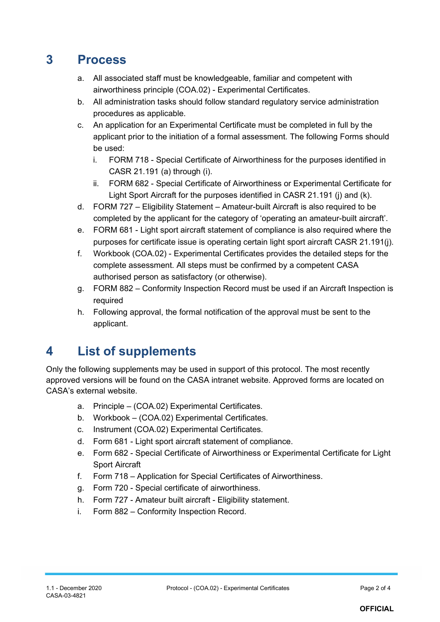#### **3 Process**

- a. All associated staff must be knowledgeable, familiar and competent with airworthiness principle (COA.02) - Experimental Certificates.
- b. All administration tasks should follow standard regulatory service administration procedures as applicable.
- c. An application for an Experimental Certificate must be completed in full by the applicant prior to the initiation of a formal assessment. The following Forms should be used:
	- i. FORM 718 Special Certificate of Airworthiness for the purposes identified in CASR 21.191 (a) through (i).
	- ii. FORM 682 Special Certificate of Airworthiness or Experimental Certificate for Light Sport Aircraft for the purposes identified in CASR 21.191 (i) and (k).
- d. FORM 727 Eligibility Statement Amateur-built Aircraft is also required to be completed by the applicant for the category of 'operating an amateur-built aircraft'.
- e. FORM 681 Light sport aircraft statement of compliance is also required where the purposes for certificate issue is operating certain light sport aircraft CASR 21.191(j).
- f. Workbook (COA.02) Experimental Certificates provides the detailed steps for the complete assessment. All steps must be confirmed by a competent CASA authorised person as satisfactory (or otherwise).
- g. FORM 882 Conformity Inspection Record must be used if an Aircraft Inspection is required
- h. Following approval, the formal notification of the approval must be sent to the applicant.

### **4 List of supplements**

Only the following supplements may be used in support of this protocol. The most recently approved versions will be found on the CASA intranet website. Approved forms are located on CASA's external website.

- a. Principle (COA.02) Experimental Certificates.
- b. Workbook (COA.02) Experimental Certificates.
- c. Instrument (COA.02) Experimental Certificates.
- d. Form 681 Light sport aircraft statement of compliance.
- e. Form 682 Special Certificate of Airworthiness or Experimental Certificate for Light Sport Aircraft
- f. Form 718 Application for Special Certificates of Airworthiness.
- g. Form 720 Special certificate of airworthiness.
- h. Form 727 Amateur built aircraft Eligibility statement.
- i. Form 882 Conformity Inspection Record.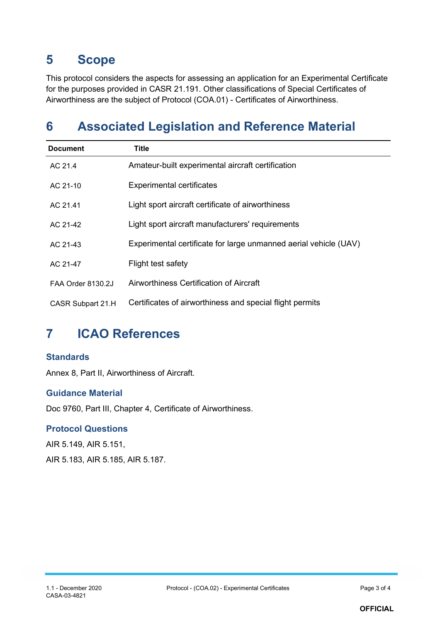#### **5 Scope**

This protocol considers the aspects for assessing an application for an Experimental Certificate for the purposes provided in CASR 21.191. Other classifications of Special Certificates of Airworthiness are the subject of Protocol (COA.01) - Certificates of Airworthiness.

### **6 Associated Legislation and Reference Material**

| <b>Document</b>          | Title                                                            |
|--------------------------|------------------------------------------------------------------|
| AC 21.4                  | Amateur-built experimental aircraft certification                |
| AC 21-10                 | <b>Experimental certificates</b>                                 |
| AC 21.41                 | Light sport aircraft certificate of airworthiness                |
| AC 21-42                 | Light sport aircraft manufacturers' requirements                 |
| AC 21-43                 | Experimental certificate for large unmanned aerial vehicle (UAV) |
| AC 21-47                 | Flight test safety                                               |
| <b>FAA Order 8130.2J</b> | Airworthiness Certification of Aircraft                          |
| CASR Subpart 21.H        | Certificates of airworthiness and special flight permits         |

### **7 ICAO References**

#### **Standards**

Annex 8, Part II, Airworthiness of Aircraft.

#### **Guidance Material**

Doc 9760, Part III, Chapter 4, Certificate of Airworthiness.

#### **Protocol Questions**

AIR 5.149, AIR 5.151, AIR 5.183, AIR 5.185, AIR 5.187.